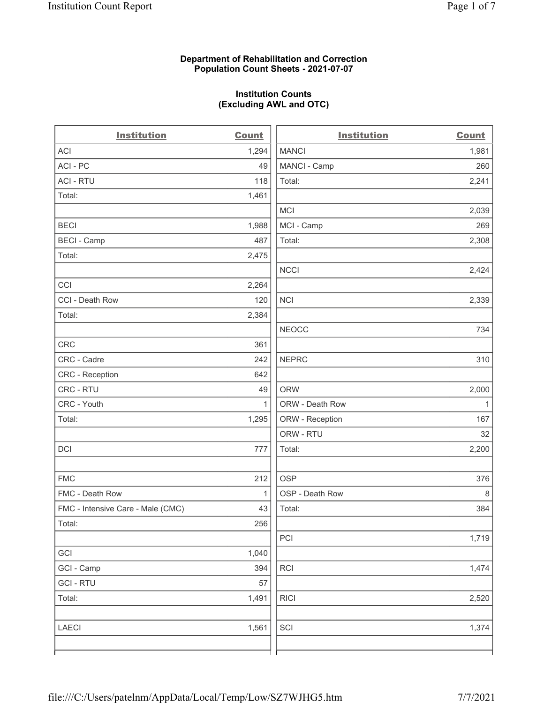# Department of Rehabilitation and Correction Population Count Sheets - 2021-07-07

# Institution Counts (Excluding AWL and OTC)

 $\overline{a}$ 

| <b>Institution</b>                | <b>Count</b> | <b>Institution</b> | <b>Count</b> |
|-----------------------------------|--------------|--------------------|--------------|
| ACI                               | 1,294        | <b>MANCI</b>       | 1,981        |
| ACI-PC                            | 49           | MANCI - Camp       | 260          |
| <b>ACI - RTU</b>                  | 118          | Total:             | 2,241        |
| Total:                            | 1,461        |                    |              |
|                                   |              | MCI                | 2,039        |
| <b>BECI</b>                       | 1,988        | MCI - Camp         | 269          |
| <b>BECI - Camp</b>                | 487          | Total:             | 2,308        |
| Total:                            | 2,475        |                    |              |
|                                   |              | <b>NCCI</b>        | 2,424        |
| CCI                               | 2,264        |                    |              |
| CCI - Death Row                   | 120          | <b>NCI</b>         | 2,339        |
| Total:                            | 2,384        |                    |              |
|                                   |              | <b>NEOCC</b>       | 734          |
| CRC                               | 361          |                    |              |
| CRC - Cadre                       | 242          | <b>NEPRC</b>       | 310          |
| CRC - Reception                   | 642          |                    |              |
| CRC - RTU                         | 49           | <b>ORW</b>         | 2,000        |
| CRC - Youth                       | $\mathbf{1}$ | ORW - Death Row    | $\mathbf{1}$ |
| Total:                            | 1,295        | ORW - Reception    | 167          |
|                                   |              | ORW - RTU          | 32           |
| DCI                               | 777          | Total:             | 2,200        |
| <b>FMC</b>                        | 212          | <b>OSP</b>         | 376          |
| FMC - Death Row                   | $\mathbf{1}$ | OSP - Death Row    | 8            |
| FMC - Intensive Care - Male (CMC) | 43           | Total:             | 384          |
| Total:                            | 256          |                    |              |
|                                   |              | PCI                | 1,719        |
| GCI                               | 1,040        |                    |              |
| GCI - Camp                        | 394          | <b>RCI</b>         | 1,474        |
| <b>GCI-RTU</b>                    | 57           |                    |              |
| Total:                            | 1,491        | <b>RICI</b>        | 2,520        |
| LAECI                             | 1,561        | SCI                | 1,374        |
|                                   |              |                    |              |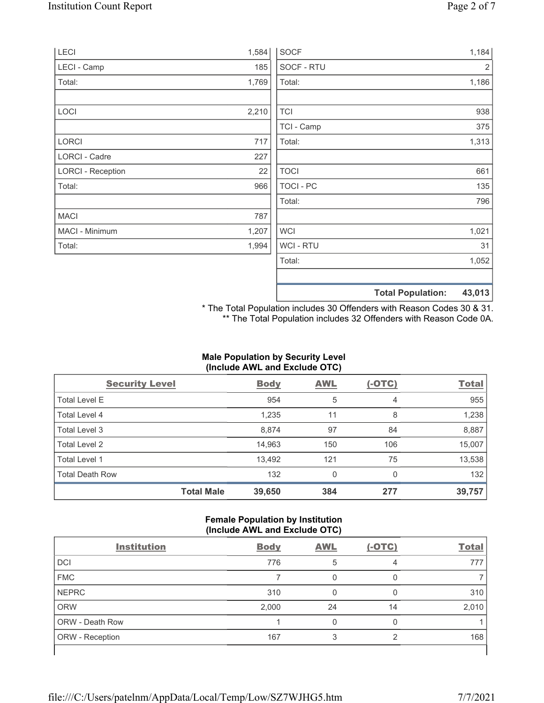| LECI                     | 1,584 | <b>SOCF</b>    | 1,184                              |
|--------------------------|-------|----------------|------------------------------------|
| LECI - Camp              | 185   | SOCF - RTU     | $\overline{2}$                     |
| Total:                   | 1,769 | Total:         | 1,186                              |
| LOCI                     | 2,210 | <b>TCI</b>     | 938                                |
|                          |       | TCI - Camp     | 375                                |
| LORCI                    | 717   | Total:         | 1,313                              |
| LORCI - Cadre            | 227   |                |                                    |
| <b>LORCI - Reception</b> | 22    | <b>TOCI</b>    | 661                                |
| Total:                   | 966   | TOCI - PC      | 135                                |
|                          |       | Total:         | 796                                |
| <b>MACI</b>              | 787   |                |                                    |
| MACI - Minimum           | 1,207 | <b>WCI</b>     | 1,021                              |
| Total:                   | 1,994 | <b>WCI-RTU</b> | 31                                 |
|                          |       | Total:         | 1,052                              |
|                          |       |                | 43,013<br><b>Total Population:</b> |

\* The Total Population includes 30 Offenders with Reason Codes 30 & 31. \*\* The Total Population includes 32 Offenders with Reason Code 0A.

# Male Population by Security Level (Include AWL and Exclude OTC)

| <b>Security Level</b>  |                   | <b>Body</b> | <b>AWL</b> | $(-OTC)$ | <b>Total</b> |
|------------------------|-------------------|-------------|------------|----------|--------------|
| <b>Total Level E</b>   |                   | 954         | 5          | 4        | 955          |
| Total Level 4          |                   | 1,235       | 11         | 8        | 1,238        |
| Total Level 3          |                   | 8,874       | 97         | 84       | 8,887        |
| Total Level 2          |                   | 14,963      | 150        | 106      | 15,007       |
| Total Level 1          |                   | 13,492      | 121        | 75       | 13,538       |
| <b>Total Death Row</b> |                   | 132         | 0          | $\Omega$ | 132          |
|                        | <b>Total Male</b> | 39,650      | 384        | 277      | 39,757       |

# Female Population by Institution (Include AWL and Exclude OTC)

| $\sim$<br><b>Institution</b> | <b>Body</b> | . .<br><b>AWL</b> | $(-OTC)$ | <b>Total</b> |
|------------------------------|-------------|-------------------|----------|--------------|
| <b>DCI</b>                   | 776         | 5                 | 4        | 777          |
| <b>FMC</b>                   |             |                   |          |              |
| <b>NEPRC</b>                 | 310         |                   |          | 310          |
| <b>ORW</b>                   | 2,000       | 24                | 14       | 2,010        |
| <b>ORW - Death Row</b>       |             | 0                 | 0        |              |
| ORW - Reception              | 167         |                   | ⌒        | 168          |
|                              |             |                   |          |              |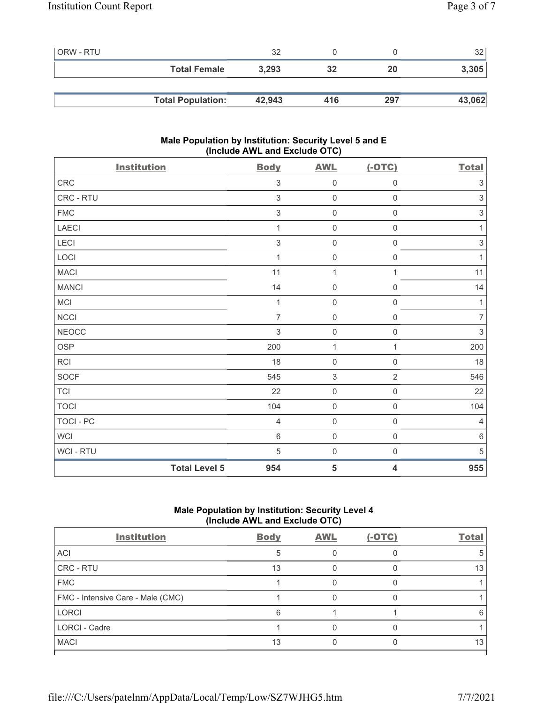| <b>ORW - RTU</b> |                          | 32     |     |     | 32 <sub>1</sub> |
|------------------|--------------------------|--------|-----|-----|-----------------|
|                  | <b>Total Female</b>      | 3,293  | 32  | 20  | 3,305           |
|                  |                          |        |     |     |                 |
|                  | <b>Total Population:</b> | 42,943 | 416 | 297 | 43,062          |

# Male Population by Institution: Security Level 5 and E (Include AWL and Exclude OTC)

| <b>Institution</b>   | <b>Body</b>    | <b>AWL</b>                | $(-OTC)$            | <b>Total</b>              |
|----------------------|----------------|---------------------------|---------------------|---------------------------|
| CRC                  | $\sqrt{3}$     | $\mathbf 0$               | $\mathsf{O}\xspace$ | $\ensuremath{\mathsf{3}}$ |
| CRC - RTU            | $\sqrt{3}$     | $\mathbf 0$               | $\mathsf{O}\xspace$ | $\ensuremath{\mathsf{3}}$ |
| ${\sf FMC}$          | $\sqrt{3}$     | $\mathbf 0$               | $\mathbf 0$         | $\,3$                     |
| <b>LAECI</b>         | 1              | $\mathsf{O}\xspace$       | $\mathsf{O}\xspace$ | $\mathbf{1}$              |
| LECI                 | $\sqrt{3}$     | $\mathbf 0$               | $\mathsf{O}\xspace$ | $\,$ 3 $\,$               |
| LOCI                 | 1              | $\mathbf 0$               | $\mathsf{O}\xspace$ | $\mathbf{1}$              |
| <b>MACI</b>          | 11             | $\mathbf{1}$              | 1                   | 11                        |
| <b>MANCI</b>         | 14             | $\mathbf 0$               | $\mathsf{O}\xspace$ | 14                        |
| MCI                  | $\mathbf{1}$   | $\mathsf{O}\xspace$       | $\mathsf{O}\xspace$ | $\mathbf{1}$              |
| NCCI                 | $\overline{7}$ | $\mathbf 0$               | $\mathsf{O}\xspace$ | $\boldsymbol{7}$          |
| <b>NEOCC</b>         | $\sqrt{3}$     | $\mathbf 0$               | $\mathsf{O}\xspace$ | $\sqrt{3}$                |
| <b>OSP</b>           | 200            | $\mathbf{1}$              | 1                   | 200                       |
| RCI                  | 18             | $\mathbf 0$               | $\mathsf{O}\xspace$ | 18                        |
| SOCF                 | 545            | $\ensuremath{\mathsf{3}}$ | $\overline{2}$      | 546                       |
| <b>TCI</b>           | 22             | $\mathbf 0$               | $\mathsf{O}\xspace$ | 22                        |
| <b>TOCI</b>          | 104            | $\mathbf 0$               | $\mathsf{O}\xspace$ | 104                       |
| TOCI - PC            | $\overline{4}$ | $\mathbf 0$               | $\mathsf 0$         | $\overline{4}$            |
| <b>WCI</b>           | $\,6\,$        | $\mathbf 0$               | $\mathsf{O}\xspace$ | $\,6\,$                   |
| WCI - RTU            | $\sqrt{5}$     | $\mathbf 0$               | $\mathsf{O}\xspace$ | $\sqrt{5}$                |
| <b>Total Level 5</b> | 954            | $\overline{\mathbf{5}}$   | 4                   | 955                       |

# Male Population by Institution: Security Level 4 (Include AWL and Exclude OTC)

| <b>Body</b> | <b>AWL</b> | $(-OTC)$ | <b>Total</b> |
|-------------|------------|----------|--------------|
|             |            |          |              |
| 13          |            |          | 13           |
|             |            |          |              |
|             |            |          |              |
| 6           |            |          |              |
|             |            |          |              |
| 13          |            |          | 13           |
|             |            |          |              |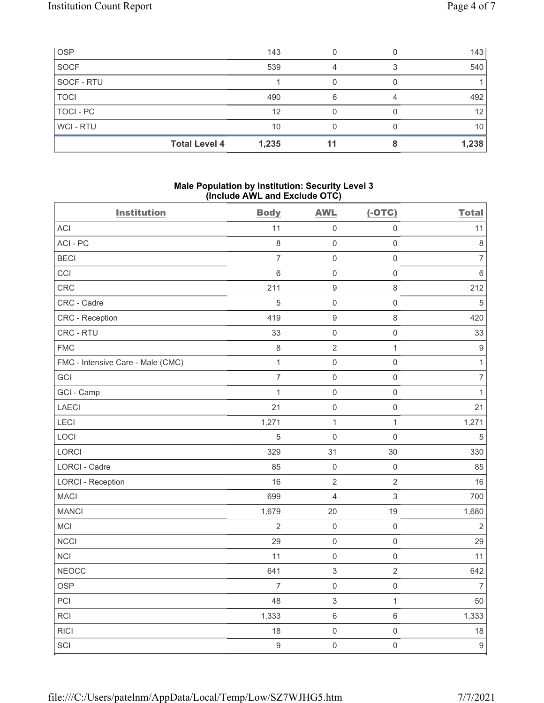| <b>OSP</b>     |                      | 143   |   | 143             |
|----------------|----------------------|-------|---|-----------------|
| <b>SOCF</b>    |                      | 539   |   | 540             |
| SOCF - RTU     |                      |       |   |                 |
| <b>TOCI</b>    |                      | 490   | 6 | 492             |
| TOCI - PC      |                      | 12    |   | 12 <sup>2</sup> |
| <b>WCI-RTU</b> |                      | 10    |   | 10              |
|                | <b>Total Level 4</b> | 1,235 |   | 1,238           |

# Male Population by Institution: Security Level 3 (Include AWL and Exclude OTC)

| <b>Institution</b>                | <b>Body</b>    | <b>AWL</b>                | $(-OTC)$            | <b>Total</b>     |
|-----------------------------------|----------------|---------------------------|---------------------|------------------|
| ACI                               | 11             | $\mathsf 0$               | $\mathsf 0$         | 11               |
| ACI-PC                            | 8              | $\mathbf 0$               | $\mathsf{O}\xspace$ | $\,8\,$          |
| <b>BECI</b>                       | $\overline{7}$ | $\mathbf 0$               | $\mathsf 0$         | $\overline{7}$   |
| CCI                               | 6              | $\mathbf 0$               | $\mathsf{O}\xspace$ | $\,6\,$          |
| CRC                               | 211            | $\boldsymbol{9}$          | $\,8\,$             | 212              |
| CRC - Cadre                       | 5              | $\mathsf{O}\xspace$       | $\mathsf 0$         | $\,$ 5 $\,$      |
| CRC - Reception                   | 419            | $\boldsymbol{9}$          | $\,8\,$             | 420              |
| CRC - RTU                         | 33             | $\mathbf 0$               | $\mathsf{O}\xspace$ | 33               |
| <b>FMC</b>                        | $\,8\,$        | $\sqrt{2}$                | $\mathbf{1}$        | $\boldsymbol{9}$ |
| FMC - Intensive Care - Male (CMC) | $\mathbf{1}$   | $\mathbf 0$               | $\mathsf{O}\xspace$ | $\mathbf{1}$     |
| GCI                               | $\overline{7}$ | $\mathbf 0$               | $\mathsf 0$         | $\overline{7}$   |
| GCI - Camp                        | $\mathbf{1}$   | $\mathbf 0$               | $\mathsf{O}\xspace$ | $\mathbf{1}$     |
| LAECI                             | 21             | $\mathbf 0$               | $\mathsf{O}\xspace$ | 21               |
| LECI                              | 1,271          | $\mathbf{1}$              | $\mathbf{1}$        | 1,271            |
| LOCI                              | 5              | $\mathbf 0$               | $\mathsf{O}\xspace$ | $\overline{5}$   |
| LORCI                             | 329            | 31                        | 30                  | 330              |
| LORCI - Cadre                     | 85             | $\mathbf 0$               | $\mathsf{O}\xspace$ | 85               |
| <b>LORCI - Reception</b>          | 16             | $\sqrt{2}$                | $\sqrt{2}$          | 16               |
| <b>MACI</b>                       | 699            | $\overline{4}$            | $\mathfrak{S}$      | 700              |
| <b>MANCI</b>                      | 1,679          | 20                        | 19                  | 1,680            |
| MCI                               | $\overline{2}$ | $\mathbf 0$               | $\mathsf{O}\xspace$ | $\sqrt{2}$       |
| <b>NCCI</b>                       | 29             | $\mathbf 0$               | $\mathsf{O}\xspace$ | 29               |
| <b>NCI</b>                        | 11             | $\mathbf 0$               | $\mathsf{O}\xspace$ | 11               |
| <b>NEOCC</b>                      | 641            | $\ensuremath{\mathsf{3}}$ | $\overline{2}$      | 642              |
| <b>OSP</b>                        | $\overline{7}$ | $\mathbf 0$               | $\mathsf{O}\xspace$ | $\overline{7}$   |
| PCI                               | 48             | $\sqrt{3}$                | $\mathbf{1}$        | 50               |
| RCI                               | 1,333          | $\,6\,$                   | $\,6\,$             | 1,333            |
| <b>RICI</b>                       | 18             | $\mathbf 0$               | $\mathsf{O}\xspace$ | 18               |
| SCI                               | $\mathsf g$    | $\mathbf 0$               | $\mathsf{O}\xspace$ | $\boldsymbol{9}$ |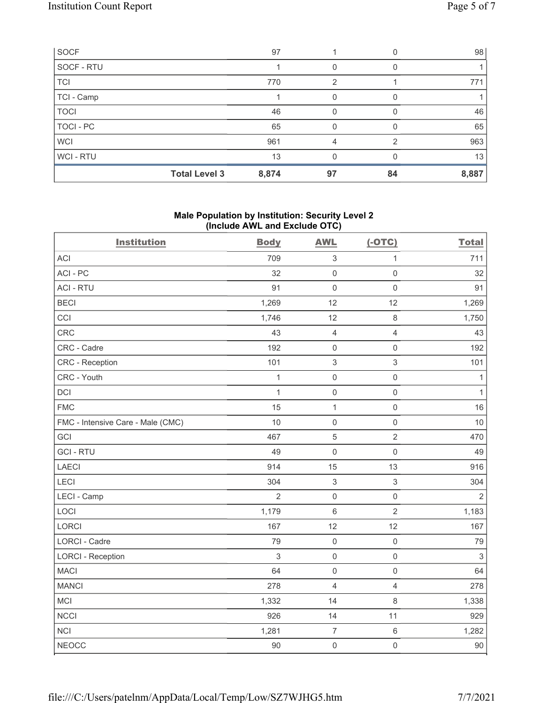|             | <b>Total Level 3</b> | 8,874 | 97 | 84 | 8,887 |
|-------------|----------------------|-------|----|----|-------|
| WCI - RTU   |                      | 13    |    |    | 13    |
| <b>WCI</b>  |                      | 961   | 4  |    | 963   |
| TOCI - PC   |                      | 65    | O  |    | 65    |
| <b>TOCI</b> |                      | 46    | O  |    | 46    |
| TCI - Camp  |                      |       | O  |    |       |
| <b>TCI</b>  |                      | 770   | 2  |    | 771   |
| SOCF - RTU  |                      |       | 0  |    |       |
| SOCF        |                      | 97    |    |    | 98    |

# Male Population by Institution: Security Level 2 (Include AWL and Exclude OTC)

| <b>Institution</b>                | <b>Body</b>  | <b>AWL</b>          | $(-OTC)$            | <b>Total</b>              |
|-----------------------------------|--------------|---------------------|---------------------|---------------------------|
| <b>ACI</b>                        | 709          | $\sqrt{3}$          | $\mathbf{1}$        | 711                       |
| ACI-PC                            | 32           | $\mathbf 0$         | $\mathsf{O}\xspace$ | 32                        |
| <b>ACI - RTU</b>                  | 91           | $\mathbf 0$         | $\mathsf{O}\xspace$ | 91                        |
| <b>BECI</b>                       | 1,269        | 12                  | 12                  | 1,269                     |
| CCI                               | 1,746        | 12                  | 8                   | 1,750                     |
| CRC                               | 43           | $\overline{4}$      | $\overline{4}$      | 43                        |
| CRC - Cadre                       | 192          | $\mathsf{O}\xspace$ | $\mathsf{O}\xspace$ | 192                       |
| <b>CRC</b> - Reception            | 101          | $\sqrt{3}$          | 3                   | 101                       |
| CRC - Youth                       | $\mathbf{1}$ | $\mathbf 0$         | $\mathbf 0$         | $\mathbf{1}$              |
| <b>DCI</b>                        | $\mathbf{1}$ | $\mathbf 0$         | $\mathsf{O}\xspace$ | $\mathbf{1}$              |
| <b>FMC</b>                        | 15           | $\mathbf{1}$        | $\mathsf 0$         | 16                        |
| FMC - Intensive Care - Male (CMC) | 10           | $\mathbf 0$         | $\mathsf 0$         | 10                        |
| GCI                               | 467          | $\sqrt{5}$          | $\overline{2}$      | 470                       |
| <b>GCI-RTU</b>                    | 49           | $\mathbf 0$         | $\mathbf 0$         | 49                        |
| <b>LAECI</b>                      | 914          | 15                  | 13                  | 916                       |
| LECI                              | 304          | $\sqrt{3}$          | 3                   | 304                       |
| LECI - Camp                       | 2            | $\mathbf 0$         | $\mathbf 0$         | $\overline{2}$            |
| LOCI                              | 1,179        | $\,6\,$             | $\overline{2}$      | 1,183                     |
| LORCI                             | 167          | 12                  | 12                  | 167                       |
| LORCI - Cadre                     | 79           | $\mathbf 0$         | $\mathbf 0$         | 79                        |
| <b>LORCI - Reception</b>          | $\sqrt{3}$   | $\mathbf 0$         | $\mathsf 0$         | $\ensuremath{\mathsf{3}}$ |
| <b>MACI</b>                       | 64           | $\mathbf 0$         | $\mathsf 0$         | 64                        |
| <b>MANCI</b>                      | 278          | $\overline{4}$      | $\overline{4}$      | 278                       |
| MCI                               | 1,332        | 14                  | 8                   | 1,338                     |
| <b>NCCI</b>                       | 926          | 14                  | 11                  | 929                       |
| <b>NCI</b>                        | 1,281        | $\boldsymbol{7}$    | $\,6\,$             | 1,282                     |
| <b>NEOCC</b>                      | 90           | $\mathbf 0$         | $\mathsf{O}\xspace$ | 90                        |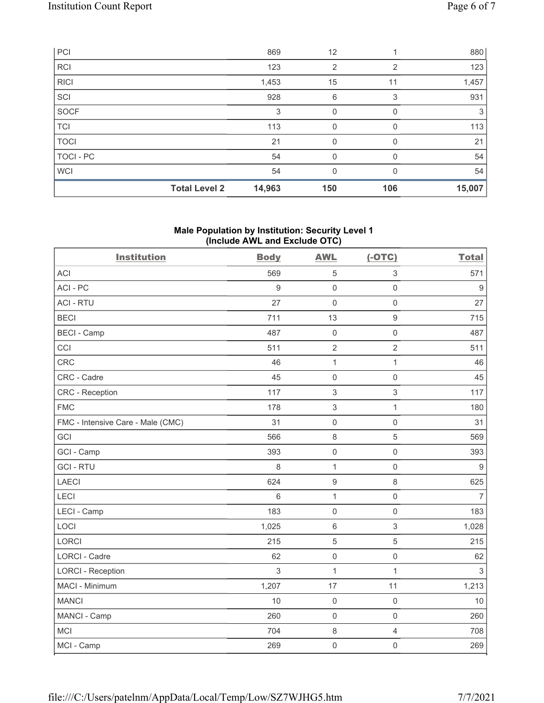| PCI         |                      | 869    | 12  |                | 880    |
|-------------|----------------------|--------|-----|----------------|--------|
| <b>RCI</b>  |                      | 123    | 2   | $\overline{2}$ | 123    |
| <b>RICI</b> |                      | 1,453  | 15  | 11             | 1,457  |
| SCI         |                      | 928    | 6   | 3              | 931    |
| SOCF        |                      | 3      | 0   | <sup>0</sup>   | 3      |
| <b>TCI</b>  |                      | 113    | 0   | $\Omega$       | 113    |
| <b>TOCI</b> |                      | 21     | 0   |                | 21     |
| TOCI - PC   |                      | 54     | 0   |                | 54     |
| <b>WCI</b>  |                      | 54     | 0   | $\Omega$       | 54     |
|             | <b>Total Level 2</b> | 14,963 | 150 | 106            | 15,007 |

# Male Population by Institution: Security Level 1 (Include AWL and Exclude OTC)

| <b>Institution</b>                | <b>Body</b>    | <b>AWL</b>                | $(-OTC)$            | <b>Total</b>     |
|-----------------------------------|----------------|---------------------------|---------------------|------------------|
| <b>ACI</b>                        | 569            | 5                         | $\sqrt{3}$          | 571              |
| ACI-PC                            | $\overline{9}$ | $\mathbf 0$               | $\mathsf{O}\xspace$ | 9                |
| <b>ACI - RTU</b>                  | 27             | $\mathbf 0$               | $\mathsf 0$         | 27               |
| <b>BECI</b>                       | 711            | 13                        | $\boldsymbol{9}$    | 715              |
| <b>BECI - Camp</b>                | 487            | $\mathbf 0$               | $\mathsf{O}\xspace$ | 487              |
| CCI                               | 511            | $\overline{2}$            | $\overline{2}$      | 511              |
| CRC                               | 46             | $\mathbf 1$               | $\mathbf{1}$        | 46               |
| CRC - Cadre                       | 45             | $\mathbf 0$               | $\mathsf{O}\xspace$ | 45               |
| <b>CRC</b> - Reception            | 117            | $\mathfrak{S}$            | $\mathfrak{S}$      | 117              |
| <b>FMC</b>                        | 178            | $\ensuremath{\mathsf{3}}$ | $\mathbf{1}$        | 180              |
| FMC - Intensive Care - Male (CMC) | 31             | $\mathbf 0$               | $\mathsf{O}\xspace$ | 31               |
| GCI                               | 566            | $\,8\,$                   | $\mathbf 5$         | 569              |
| GCI - Camp                        | 393            | $\mathbf 0$               | $\mathsf 0$         | 393              |
| <b>GCI-RTU</b>                    | 8              | 1                         | $\mathsf{O}\xspace$ | $\boldsymbol{9}$ |
| <b>LAECI</b>                      | 624            | $\boldsymbol{9}$          | $\,8\,$             | 625              |
| LECI                              | 6              | $\mathbf 1$               | $\mathsf{O}\xspace$ | $\overline{7}$   |
| LECI - Camp                       | 183            | $\mathbf 0$               | $\mathsf{O}\xspace$ | 183              |
| LOCI                              | 1,025          | $6\,$                     | $\sqrt{3}$          | 1,028            |
| LORCI                             | 215            | 5                         | 5                   | 215              |
| LORCI - Cadre                     | 62             | $\mathbf 0$               | $\mathsf 0$         | 62               |
| <b>LORCI - Reception</b>          | 3              | $\mathbf{1}$              | $\mathbf{1}$        | $\sqrt{3}$       |
| MACI - Minimum                    | 1,207          | 17                        | 11                  | 1,213            |
| <b>MANCI</b>                      | 10             | $\mathbf 0$               | $\mathsf{O}\xspace$ | 10               |
| MANCI - Camp                      | 260            | $\mathbf 0$               | $\mathsf{O}\xspace$ | 260              |
| <b>MCI</b>                        | 704            | $\,8\,$                   | $\overline{4}$      | 708              |
| MCI - Camp                        | 269            | $\mathbf 0$               | $\mathsf{O}\xspace$ | 269              |